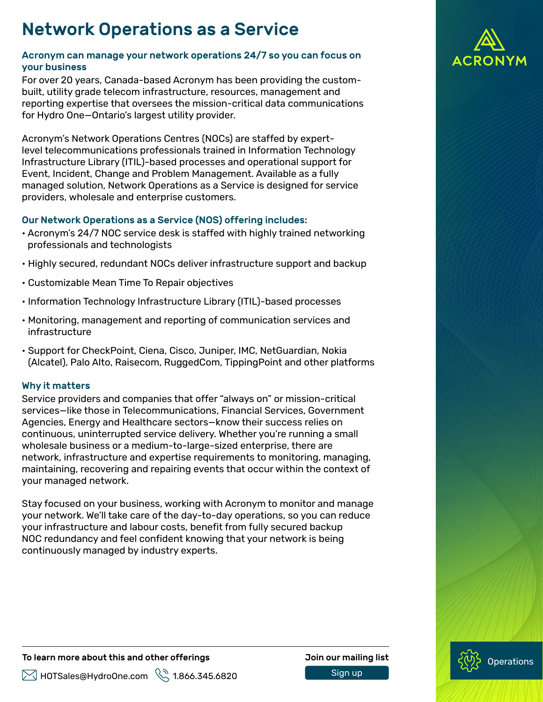# Network Operations as a Service

# Acronym can manage your network operations 24/7 so you can focus on your business

For over 20 years, Canada-based Acronym has been providing the custombuilt, utility grade telecom infrastructure, resources, management and reporting expertise that oversees the mission-critical data communications for Hydro One—Ontario's largest utility provider.

Acronym's Network Operations Centres (NOCs) are staffed by expertlevel telecommunications professionals trained in Information Technology Infrastructure Library (ITIL)-based processes and operational support for Event, Incident, Change and Problem Management. Available as a fully managed solution, Network Operations as a Service is designed for service providers, wholesale and enterprise customers.

## Our Network Operations as a Service (NOS) offering includes:

- Acronym's 24/7 NOC service desk is staffed with highly trained networking professionals and technologists
- Highly secured, redundant NOCs deliver infrastructure support and backup
- Customizable Mean Time To Repair objectives
- Information Technology Infrastructure Library (ITIL)-based processes
- Monitoring, management and reporting of communication services and infrastructure
- Support for CheckPoint, Ciena, Cisco, Juniper, IMC, NetGuardian, Nokia (Alcatel), Palo Alto, Raisecom, RuggedCom, TippingPoint and other platforms

# Why it matters

Service providers and companies that offer "always on" or mission-critical services—like those in Telecommunications, Financial Services, Government Agencies, Energy and Healthcare sectors—know their success relies on continuous, uninterrupted service delivery. Whether you're running a small wholesale business or a medium-to-large-sized enterprise, there are network, infrastructure and expertise requirements to monitoring, managing, maintaining, recovering and repairing events that occur within the context of your managed network.

Stay focused on your business, working with Acronym to monitor and manage your network. We'll take care of the day-to-day operations, so you can reduce your infrastructure and labour costs, benefit from fully secured backup NOC redundancy and feel confident knowing that your network is being continuously managed by industry experts.

#### To learn more about this and other offerings **Source Act and Sour mailing list**